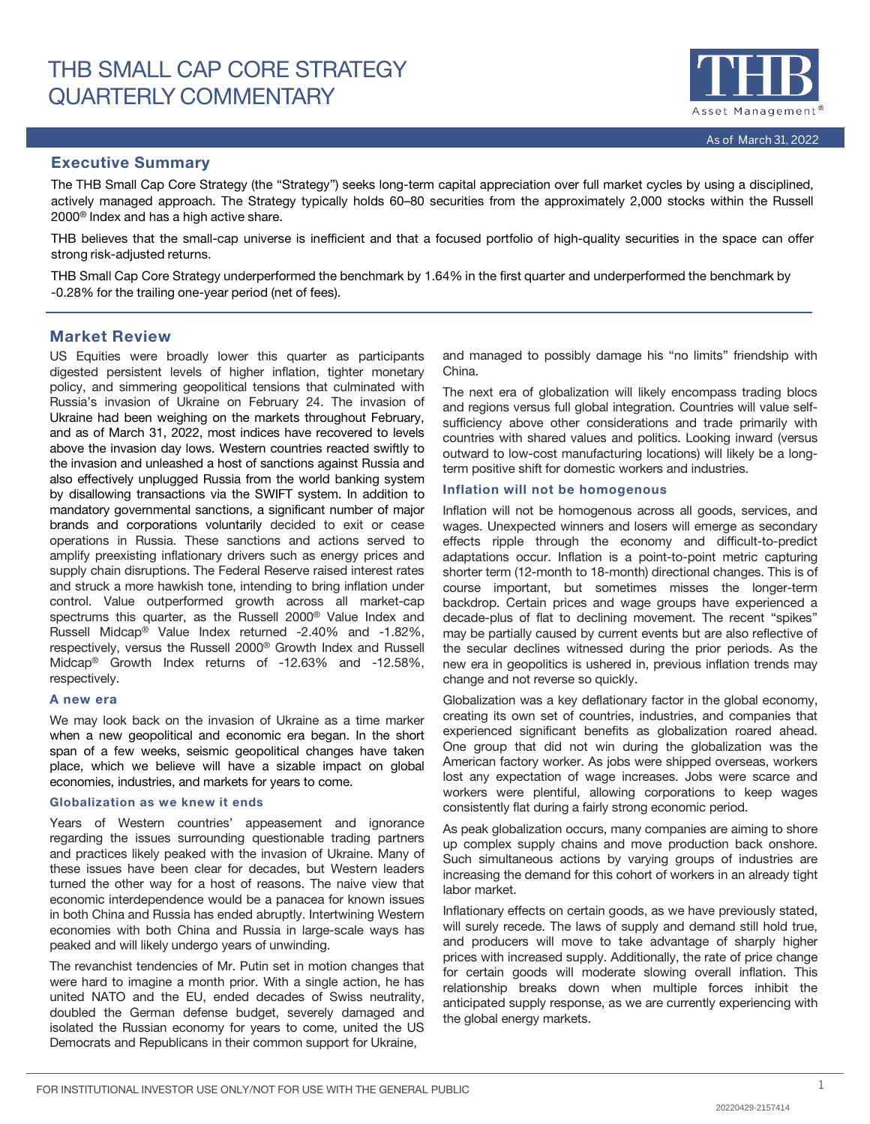

# Executive Summary

The THB Small Cap Core Strategy (the "Strategy") seeks long-term capital appreciation over full market cycles by using a disciplined, actively managed approach. The Strategy typically holds 60–80 securities from the approximately 2,000 stocks within the Russell 2000® Index and has a high active share.

THB believes that the small-cap universe is inefficient and that a focused portfolio of high-quality securities in the space can offer strong risk-adjusted returns.

THB Small Cap Core Strategy underperformed the benchmark by 1.64% in the first quarter and underperformed the benchmark by -0.28% for the trailing one-year period (net of fees).

# Market Review

US Equities were broadly lower this quarter as participants digested persistent levels of higher inflation, tighter monetary policy, and simmering geopolitical tensions that culminated with Russia's invasion of Ukraine on February 24. The invasion of Ukraine had been weighing on the markets throughout February, and as of March 31, 2022, most indices have recovered to levels above the invasion day lows. Western countries reacted swiftly to the invasion and unleashed a host of sanctions against Russia and also effectively unplugged Russia from the world banking system by disallowing transactions via the SWIFT system. In addition to mandatory governmental sanctions, a significant number of major brands and corporations voluntarily decided to exit or cease operations in Russia. These sanctions and actions served to amplify preexisting inflationary drivers such as energy prices and supply chain disruptions. The Federal Reserve raised interest rates and struck a more hawkish tone, intending to bring inflation under control. Value outperformed growth across all market-cap spectrums this quarter, as the Russell 2000® Value Index and Russell Midcap® Value Index returned -2.40% and -1.82%, respectively, versus the Russell 2000® Growth Index and Russell Midcap® Growth Index returns of -12.63% and -12.58%, respectively.

## A new era

We may look back on the invasion of Ukraine as a time marker when a new geopolitical and economic era began. In the short span of a few weeks, seismic geopolitical changes have taken place, which we believe will have a sizable impact on global economies, industries, and markets for years to come.

# Globalization as we knew it ends

Years of Western countries' appeasement and ignorance regarding the issues surrounding questionable trading partners and practices likely peaked with the invasion of Ukraine. Many of these issues have been clear for decades, but Western leaders turned the other way for a host of reasons. The naive view that economic interdependence would be a panacea for known issues in both China and Russia has ended abruptly. Intertwining Western economies with both China and Russia in large-scale ways has peaked and will likely undergo years of unwinding.

The revanchist tendencies of Mr. Putin set in motion changes that were hard to imagine a month prior. With a single action, he has united NATO and the EU, ended decades of Swiss neutrality, doubled the German defense budget, severely damaged and isolated the Russian economy for years to come, united the US Democrats and Republicans in their common support for Ukraine,

and managed to possibly damage his "no limits" friendship with China.

The next era of globalization will likely encompass trading blocs and regions versus full global integration. Countries will value selfsufficiency above other considerations and trade primarily with countries with shared values and politics. Looking inward (versus outward to low-cost manufacturing locations) will likely be a longterm positive shift for domestic workers and industries.

# Inflation will not be homogenous

Inflation will not be homogenous across all goods, services, and wages. Unexpected winners and losers will emerge as secondary effects ripple through the economy and difficult-to-predict adaptations occur. Inflation is a point-to-point metric capturing shorter term (12-month to 18-month) directional changes. This is of course important, but sometimes misses the longer-term backdrop. Certain prices and wage groups have experienced a decade-plus of flat to declining movement. The recent "spikes" may be partially caused by current events but are also reflective of the secular declines witnessed during the prior periods. As the new era in geopolitics is ushered in, previous inflation trends may change and not reverse so quickly.

Globalization was a key deflationary factor in the global economy, creating its own set of countries, industries, and companies that experienced significant benefits as globalization roared ahead. One group that did not win during the globalization was the American factory worker. As jobs were shipped overseas, workers lost any expectation of wage increases. Jobs were scarce and workers were plentiful, allowing corporations to keep wages consistently flat during a fairly strong economic period.

As peak globalization occurs, many companies are aiming to shore up complex supply chains and move production back onshore. Such simultaneous actions by varying groups of industries are increasing the demand for this cohort of workers in an already tight labor market.

Inflationary effects on certain goods, as we have previously stated, will surely recede. The laws of supply and demand still hold true, and producers will move to take advantage of sharply higher prices with increased supply. Additionally, the rate of price change for certain goods will moderate slowing overall inflation. This relationship breaks down when multiple forces inhibit the anticipated supply response, as we are currently experiencing with the global energy markets.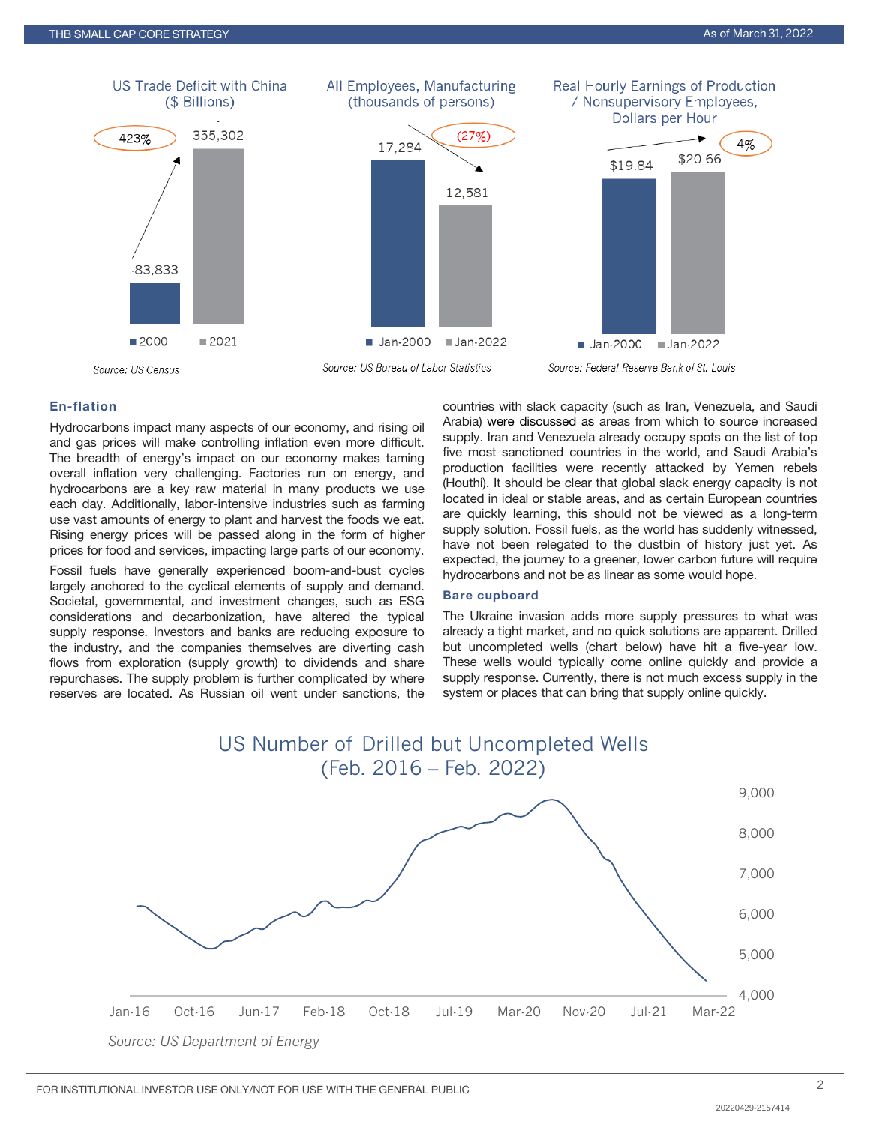

# En-flation

Hydrocarbons impact many aspects of our economy, and rising oil and gas prices will make controlling inflation even more difficult. The breadth of energy's impact on our economy makes taming overall inflation very challenging. Factories run on energy, and hydrocarbons are a key raw material in many products we use each day. Additionally, labor-intensive industries such as farming use vast amounts of energy to plant and harvest the foods we eat. Rising energy prices will be passed along in the form of higher prices for food and services, impacting large parts of our economy.

Fossil fuels have generally experienced boom-and-bust cycles largely anchored to the cyclical elements of supply and demand. Societal, governmental, and investment changes, such as ESG considerations and decarbonization, have altered the typical supply response. Investors and banks are reducing exposure to the industry, and the companies themselves are diverting cash flows from exploration (supply growth) to dividends and share repurchases. The supply problem is further complicated by where reserves are located. As Russian oil went under sanctions, the countries with slack capacity (such as Iran, Venezuela, and Saudi Arabia) were discussed as areas from which to source increased supply. Iran and Venezuela already occupy spots on the list of top five most sanctioned countries in the world, and Saudi Arabia's production facilities were recently attacked by Yemen rebels (Houthi). It should be clear that global slack energy capacity is not located in ideal or stable areas, and as certain European countries are quickly learning, this should not be viewed as a long-term supply solution. Fossil fuels, as the world has suddenly witnessed, have not been relegated to the dustbin of history just yet. As expected, the journey to a greener, lower carbon future will require hydrocarbons and not be as linear as some would hope.

#### Bare cupboard

The Ukraine invasion adds more supply pressures to what was already a tight market, and no quick solutions are apparent. Drilled but uncompleted wells (chart below) have hit a five-year low. These wells would typically come online quickly and provide a supply response. Currently, there is not much excess supply in the system or places that can bring that supply online quickly.

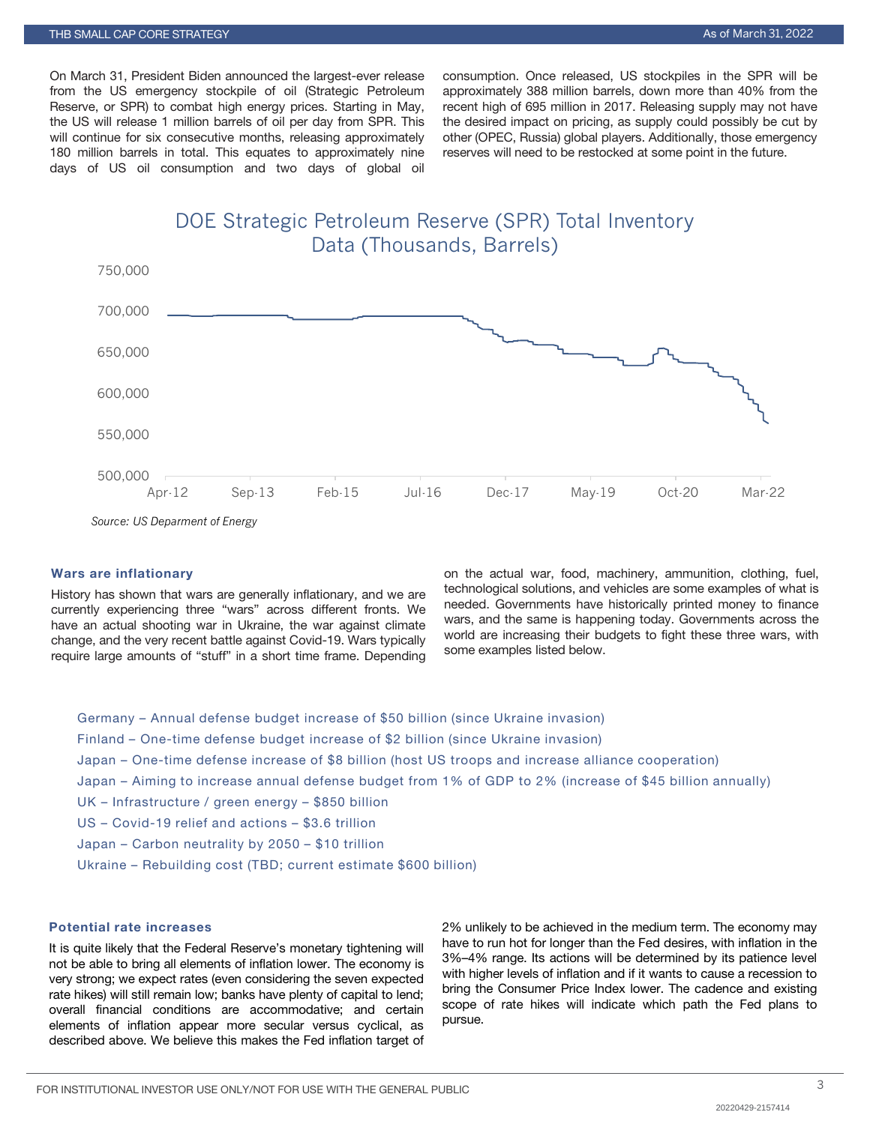On March 31, President Biden announced the largest-ever release from the US emergency stockpile of oil (Strategic Petroleum Reserve, or SPR) to combat high energy prices. Starting in May, the US will release 1 million barrels of oil per day from SPR. This will continue for six consecutive months, releasing approximately 180 million barrels in total. This equates to approximately nine days of US oil consumption and two days of global oil consumption. Once released, US stockpiles in the SPR will be approximately 388 million barrels, down more than 40% from the recent high of 695 million in 2017. Releasing supply may not have the desired impact on pricing, as supply could possibly be cut by other (OPEC, Russia) global players. Additionally, those emergency reserves will need to be restocked at some point in the future.

DOE Strategic Petroleum Reserve (SPR) Total Inventory Data (Thousands, Barrels)



*Source: US Deparment of Energy*

# Wars are inflationary

History has shown that wars are generally inflationary, and we are currently experiencing three "wars" across different fronts. We have an actual shooting war in Ukraine, the war against climate change, and the very recent battle against Covid-19. Wars typically require large amounts of "stuff" in a short time frame. Depending

on the actual war, food, machinery, ammunition, clothing, fuel, technological solutions, and vehicles are some examples of what is needed. Governments have historically printed money to finance wars, and the same is happening today. Governments across the world are increasing their budgets to fight these three wars, with some examples listed below.

Germany – Annual defense budget increase of \$50 billion (since Ukraine invasion) Finland – One-time defense budget increase of \$2 billion (since Ukraine invasion) Japan – One-time defense increase of \$8 billion (host US troops and increase alliance cooperation) Japan – Aiming to increase annual defense budget from 1% of GDP to 2% (increase of \$45 billion annually) UK – Infrastructure / green energy – \$850 billion US – Covid-19 relief and actions – \$3.6 trillion Japan – Carbon neutrality by 2050 – \$10 trillion Ukraine – Rebuilding cost (TBD; current estimate \$600 billion)

# Potential rate increases

It is quite likely that the Federal Reserve's monetary tightening will not be able to bring all elements of inflation lower. The economy is very strong; we expect rates (even considering the seven expected rate hikes) will still remain low; banks have plenty of capital to lend; overall financial conditions are accommodative; and certain elements of inflation appear more secular versus cyclical, as described above. We believe this makes the Fed inflation target of 2% unlikely to be achieved in the medium term. The economy may have to run hot for longer than the Fed desires, with inflation in the 3%–4% range. Its actions will be determined by its patience level with higher levels of inflation and if it wants to cause a recession to bring the Consumer Price Index lower. The cadence and existing scope of rate hikes will indicate which path the Fed plans to pursue.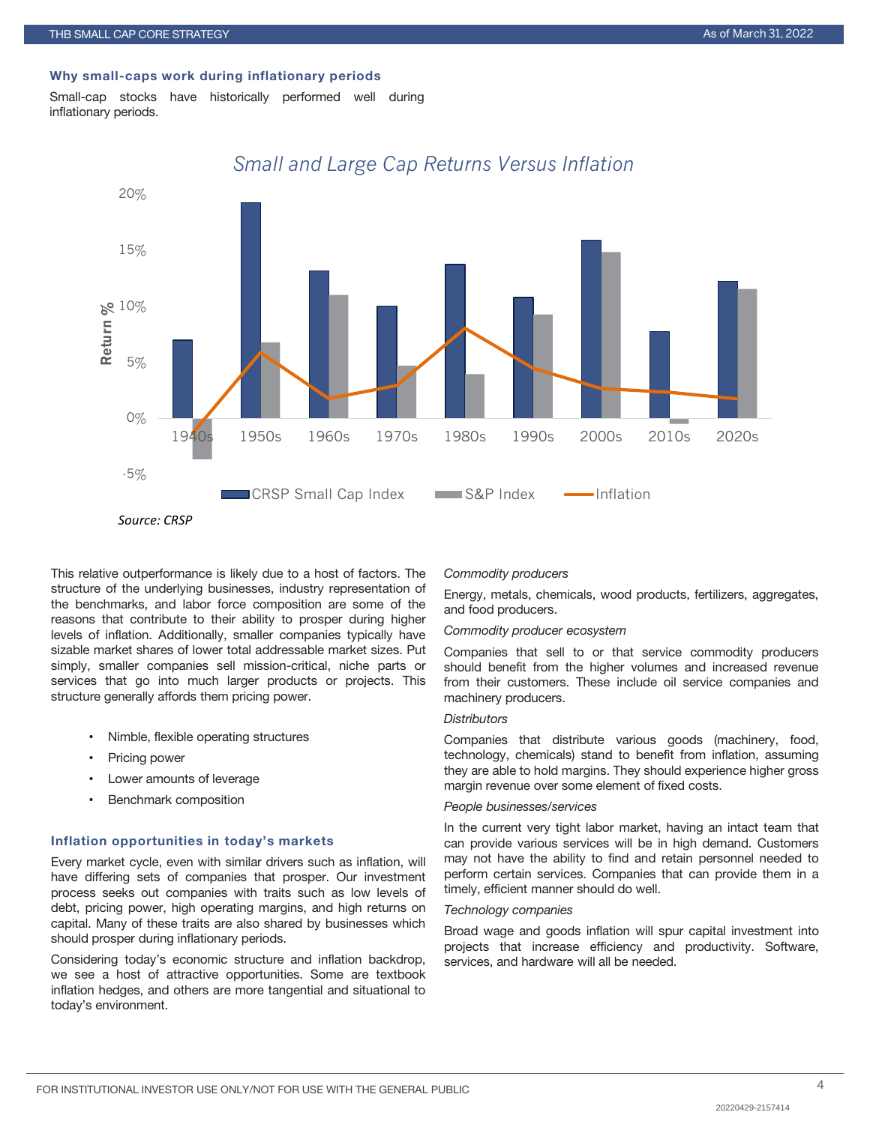## Why small-caps work during inflationary periods

Small-cap stocks have historically performed well during inflationary periods.



# *Small and Large Cap Returns Versus Inflation*

This relative outperformance is likely due to a host of factors. The structure of the underlying businesses, industry representation of the benchmarks, and labor force composition are some of the reasons that contribute to their ability to prosper during higher levels of inflation. Additionally, smaller companies typically have sizable market shares of lower total addressable market sizes. Put simply, smaller companies sell mission-critical, niche parts or services that go into much larger products or projects. This structure generally affords them pricing power.

- Nimble, flexible operating structures
- Pricing power
- Lower amounts of leverage
- Benchmark composition

# Inflation opportunities in today's markets

Every market cycle, even with similar drivers such as inflation, will have differing sets of companies that prosper. Our investment process seeks out companies with traits such as low levels of debt, pricing power, high operating margins, and high returns on capital. Many of these traits are also shared by businesses which should prosper during inflationary periods.

Considering today's economic structure and inflation backdrop, we see a host of attractive opportunities. Some are textbook inflation hedges, and others are more tangential and situational to today's environment.

#### *Commodity producers*

Energy, metals, chemicals, wood products, fertilizers, aggregates, and food producers.

#### *Commodity producer ecosystem*

Companies that sell to or that service commodity producers should benefit from the higher volumes and increased revenue from their customers. These include oil service companies and machinery producers.

# *Distributors*

Companies that distribute various goods (machinery, food, technology, chemicals) stand to benefit from inflation, assuming they are able to hold margins. They should experience higher gross margin revenue over some element of fixed costs.

# *People businesses/services*

In the current very tight labor market, having an intact team that can provide various services will be in high demand. Customers may not have the ability to find and retain personnel needed to perform certain services. Companies that can provide them in a timely, efficient manner should do well.

#### *Technology companies*

Broad wage and goods inflation will spur capital investment into projects that increase efficiency and productivity. Software, services, and hardware will all be needed.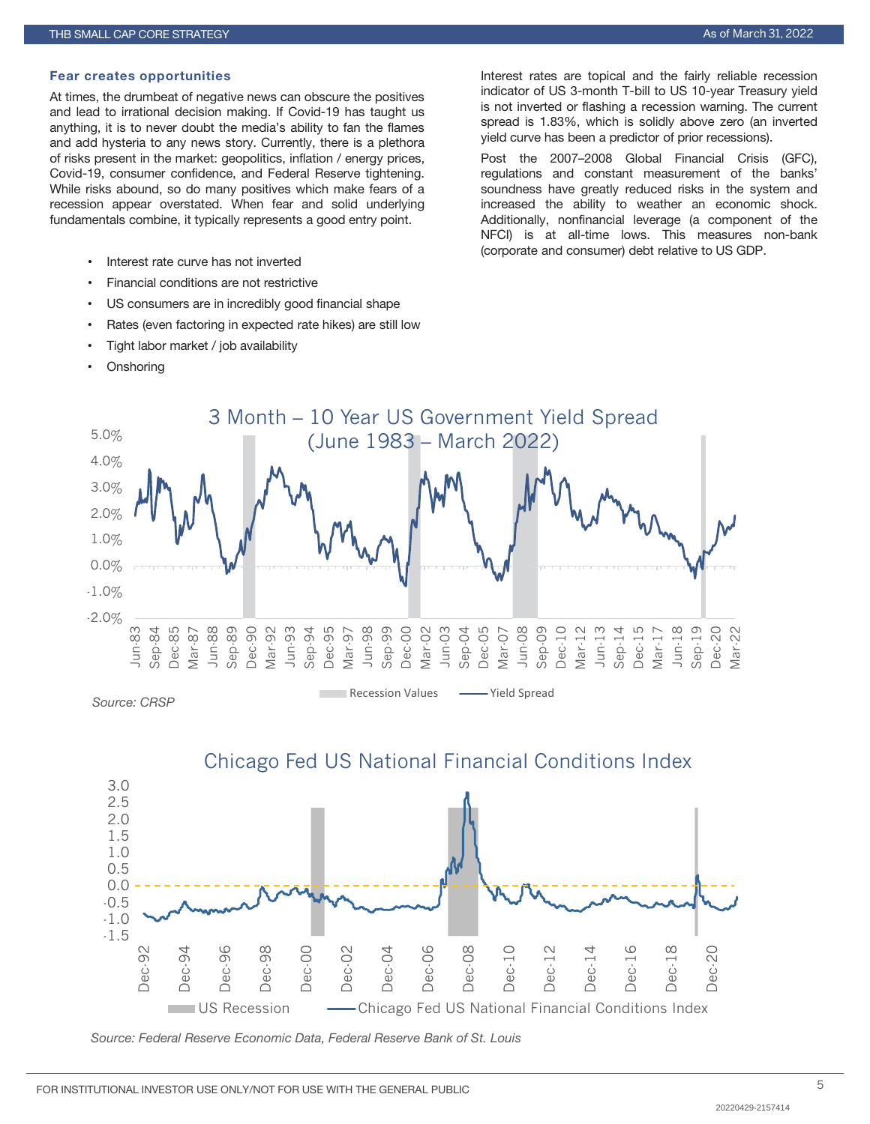#### Fear creates opportunities

At times, the drumbeat of negative news can obscure the positives and lead to irrational decision making. If Covid-19 has taught us anything, it is to never doubt the media's ability to fan the flames and add hysteria to any news story. Currently, there is a plethora of risks present in the market: geopolitics, inflation / energy prices, Covid-19, consumer confidence, and Federal Reserve tightening. While risks abound, so do many positives which make fears of a recession appear overstated. When fear and solid underlying fundamentals combine, it typically represents a good entry point.

- Interest rate curve has not inverted
- Financial conditions are not restrictive
- US consumers are in incredibly good financial shape
- Rates (even factoring in expected rate hikes) are still low
- Tight labor market / job availability
- **Onshoring**

Interest rates are topical and the fairly reliable recession indicator of US 3-month T-bill to US 10-year Treasury yield is not inverted or flashing a recession warning. The current spread is 1.83%, which is solidly above zero (an inverted yield curve has been a predictor of prior recessions).

Post the 2007–2008 Global Financial Crisis (GFC), regulations and constant measurement of the banks' soundness have greatly reduced risks in the system and increased the ability to weather an economic shock. Additionally, nonfinancial leverage (a component of the NFCI) is at all-time lows. This measures non-bank (corporate and consumer) debt relative to US GDP.





*Source: Federal Reserve Economic Data, Federal Reserve Bank of St. Louis*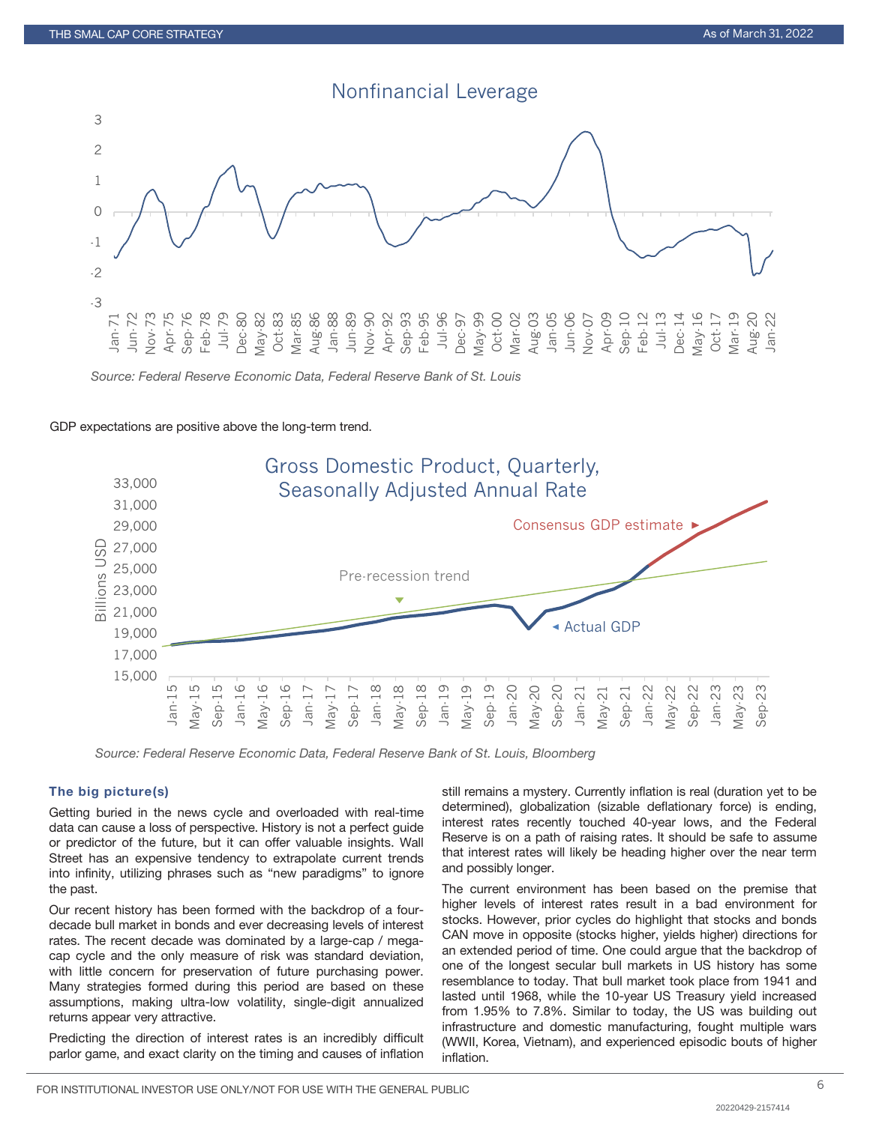

*Source: Federal Reserve Economic Data, Federal Reserve Bank of St. Louis*

#### GDP expectations are positive above the long-term trend.



*Source: Federal Reserve Economic Data, Federal Reserve Bank of St. Louis, Bloomberg*

# The big picture(s)

Getting buried in the news cycle and overloaded with real-time data can cause a loss of perspective. History is not a perfect guide or predictor of the future, but it can offer valuable insights. Wall Street has an expensive tendency to extrapolate current trends into infinity, utilizing phrases such as "new paradigms" to ignore the past.

Our recent history has been formed with the backdrop of a fourdecade bull market in bonds and ever decreasing levels of interest rates. The recent decade was dominated by a large-cap / megacap cycle and the only measure of risk was standard deviation, with little concern for preservation of future purchasing power. Many strategies formed during this period are based on these assumptions, making ultra-low volatility, single-digit annualized returns appear very attractive.

Predicting the direction of interest rates is an incredibly difficult parlor game, and exact clarity on the timing and causes of inflation

still remains a mystery. Currently inflation is real (duration yet to be determined), globalization (sizable deflationary force) is ending, interest rates recently touched 40-year lows, and the Federal Reserve is on a path of raising rates. It should be safe to assume that interest rates will likely be heading higher over the near term and possibly longer.

The current environment has been based on the premise that higher levels of interest rates result in a bad environment for stocks. However, prior cycles do highlight that stocks and bonds CAN move in opposite (stocks higher, yields higher) directions for an extended period of time. One could argue that the backdrop of one of the longest secular bull markets in US history has some resemblance to today. That bull market took place from 1941 and lasted until 1968, while the 10-year US Treasury yield increased from 1.95% to 7.8%. Similar to today, the US was building out infrastructure and domestic manufacturing, fought multiple wars (WWII, Korea, Vietnam), and experienced episodic bouts of higher inflation.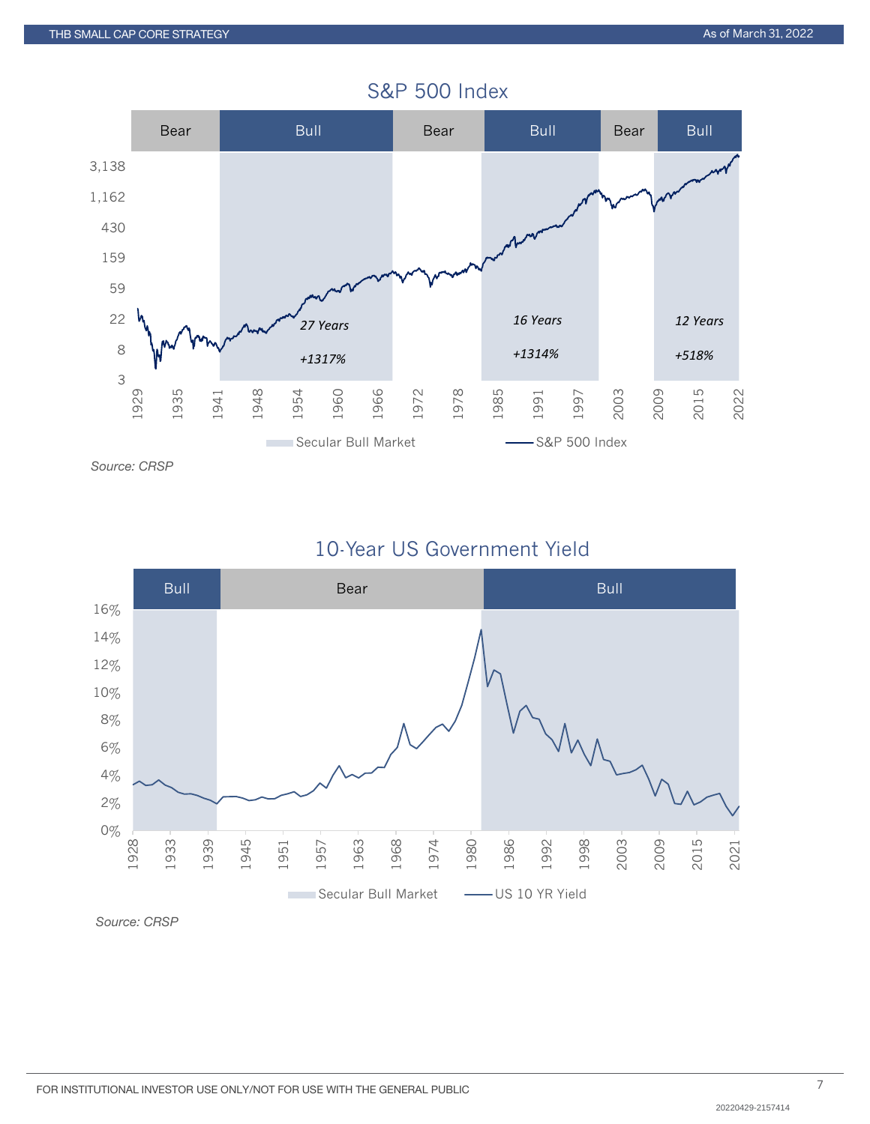

# S&P 500 Index





*Source: CRSP*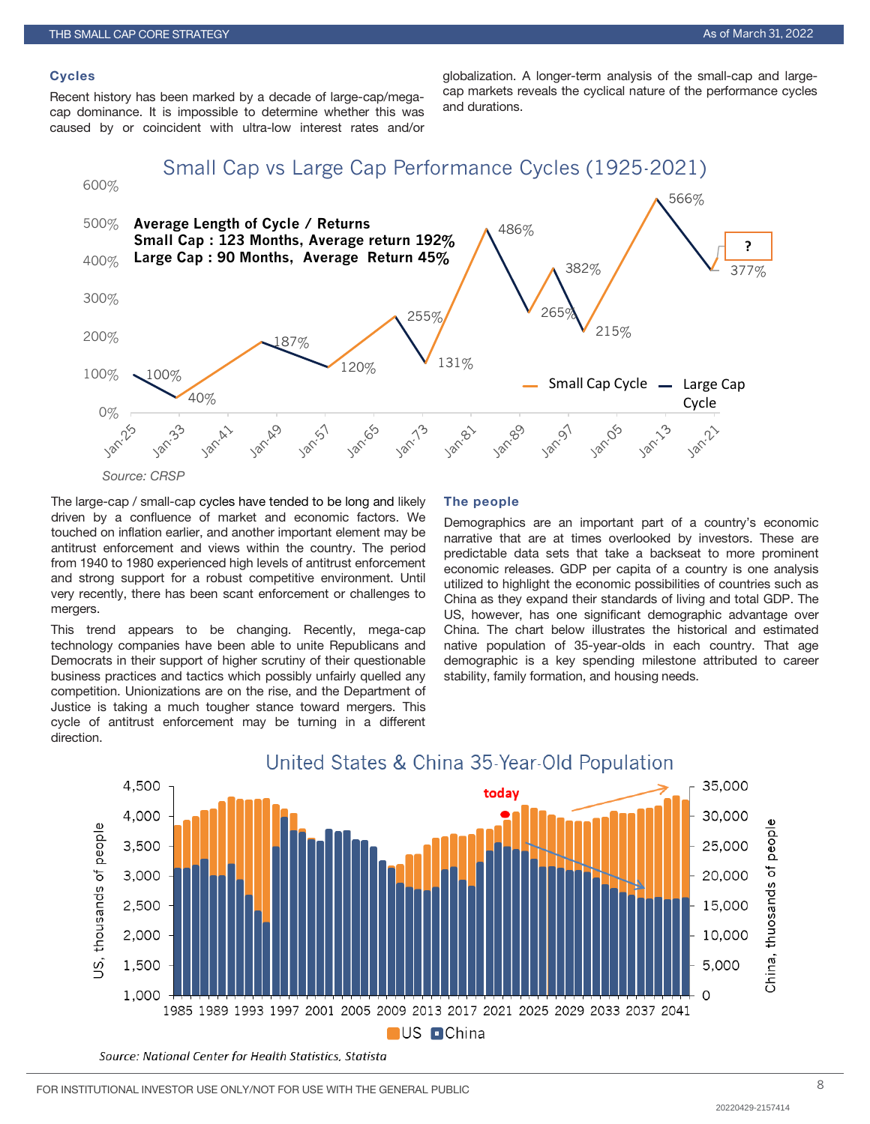# **Cycles**

Recent history has been marked by a decade of large-cap/megacap dominance. It is impossible to determine whether this was caused by or coincident with ultra-low interest rates and/or

globalization. A longer-term analysis of the small-cap and largecap markets reveals the cyclical nature of the performance cycles and durations.

Small Cap vs Large Cap Performance Cycles (1925-2021)



The large-cap / small-cap cycles have tended to be long and likely driven by a confluence of market and economic factors. We touched on inflation earlier, and another important element may be antitrust enforcement and views within the country. The period from 1940 to 1980 experienced high levels of antitrust enforcement and strong support for a robust competitive environment. Until very recently, there has been scant enforcement or challenges to mergers.

This trend appears to be changing. Recently, mega-cap technology companies have been able to unite Republicans and Democrats in their support of higher scrutiny of their questionable business practices and tactics which possibly unfairly quelled any competition. Unionizations are on the rise, and the Department of Justice is taking a much tougher stance toward mergers. This cycle of antitrust enforcement may be turning in a different direction.

#### The people

Demographics are an important part of a country's economic narrative that are at times overlooked by investors. These are predictable data sets that take a backseat to more prominent economic releases. GDP per capita of a country is one analysis utilized to highlight the economic possibilities of countries such as China as they expand their standards of living and total GDP. The US, however, has one significant demographic advantage over China. The chart below illustrates the historical and estimated native population of 35-year-olds in each country. That age demographic is a key spending milestone attributed to career stability, family formation, and housing needs.

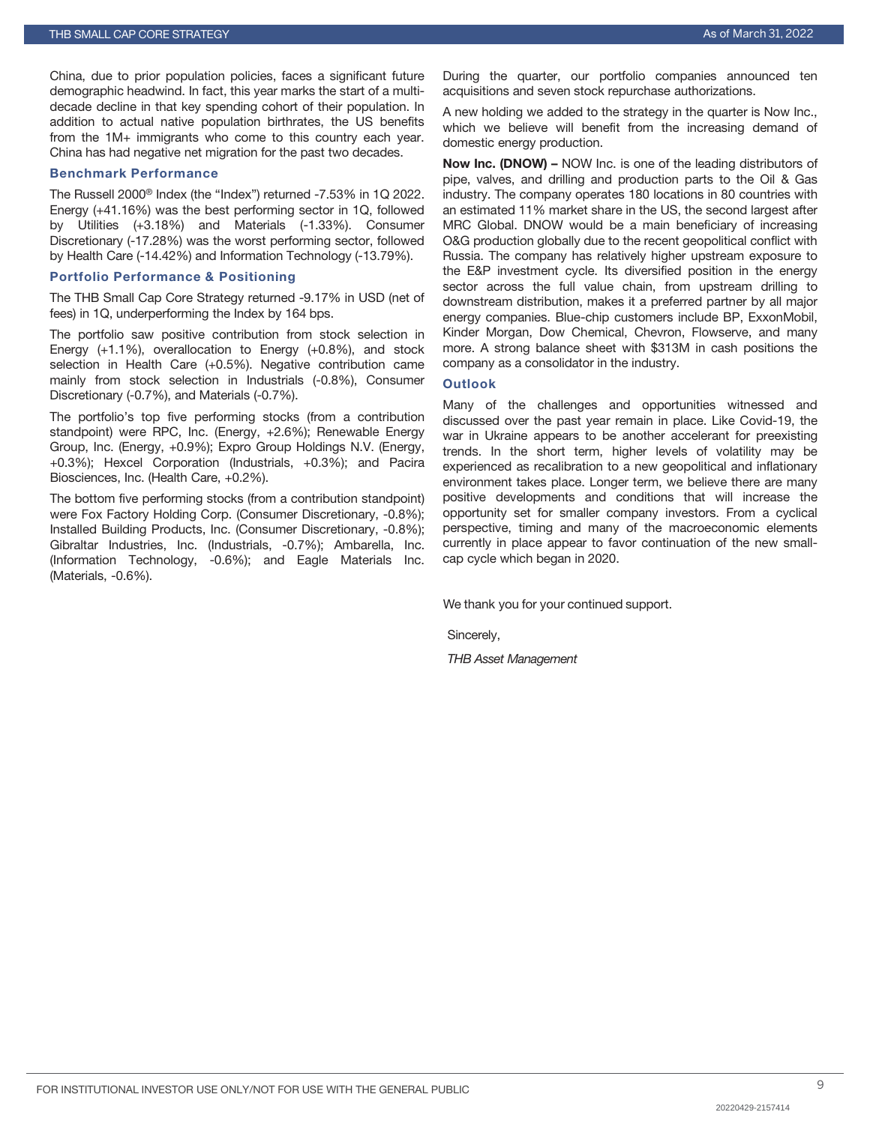China, due to prior population policies, faces a significant future demographic headwind. In fact, this year marks the start of a multidecade decline in that key spending cohort of their population. In addition to actual native population birthrates, the US benefits from the 1M+ immigrants who come to this country each year. China has had negative net migration for the past two decades.

# Benchmark Performance

The Russell 2000® Index (the "Index") returned -7.53% in 1Q 2022. Energy (+41.16%) was the best performing sector in 1Q, followed by Utilities (+3.18%) and Materials (-1.33%). Consumer Discretionary (-17.28%) was the worst performing sector, followed by Health Care (-14.42%) and Information Technology (-13.79%).

#### Portfolio Performance & Positioning

The THB Small Cap Core Strategy returned -9.17% in USD (net of fees) in 1Q, underperforming the Index by 164 bps.

The portfolio saw positive contribution from stock selection in Energy (+1.1%), overallocation to Energy (+0.8%), and stock selection in Health Care (+0.5%). Negative contribution came mainly from stock selection in Industrials (-0.8%), Consumer Discretionary (-0.7%), and Materials (-0.7%).

The portfolio's top five performing stocks (from a contribution standpoint) were RPC, Inc. (Energy, +2.6%); Renewable Energy Group, Inc. (Energy, +0.9%); Expro Group Holdings N.V. (Energy, +0.3%); Hexcel Corporation (Industrials, +0.3%); and Pacira Biosciences, Inc. (Health Care, +0.2%).

The bottom five performing stocks (from a contribution standpoint) were Fox Factory Holding Corp. (Consumer Discretionary, -0.8%); Installed Building Products, Inc. (Consumer Discretionary, -0.8%); Gibraltar Industries, Inc. (Industrials, -0.7%); Ambarella, Inc. (Information Technology, -0.6%); and Eagle Materials Inc. (Materials, -0.6%).

During the quarter, our portfolio companies announced ten acquisitions and seven stock repurchase authorizations.

A new holding we added to the strategy in the quarter is Now Inc., which we believe will benefit from the increasing demand of domestic energy production.

Now Inc. (DNOW) – NOW Inc. is one of the leading distributors of pipe, valves, and drilling and production parts to the Oil & Gas industry. The company operates 180 locations in 80 countries with an estimated 11% market share in the US, the second largest after MRC Global. DNOW would be a main beneficiary of increasing O&G production globally due to the recent geopolitical conflict with Russia. The company has relatively higher upstream exposure to the E&P investment cycle. Its diversified position in the energy sector across the full value chain, from upstream drilling to downstream distribution, makes it a preferred partner by all major energy companies. Blue-chip customers include BP, ExxonMobil, Kinder Morgan, Dow Chemical, Chevron, Flowserve, and many more. A strong balance sheet with \$313M in cash positions the company as a consolidator in the industry.

# **Outlook**

Many of the challenges and opportunities witnessed and discussed over the past year remain in place. Like Covid-19, the war in Ukraine appears to be another accelerant for preexisting trends. In the short term, higher levels of volatility may be experienced as recalibration to a new geopolitical and inflationary environment takes place. Longer term, we believe there are many positive developments and conditions that will increase the opportunity set for smaller company investors. From a cyclical perspective, timing and many of the macroeconomic elements currently in place appear to favor continuation of the new smallcap cycle which began in 2020.

We thank you for your continued support.

Sincerely,

*THB Asset Management*